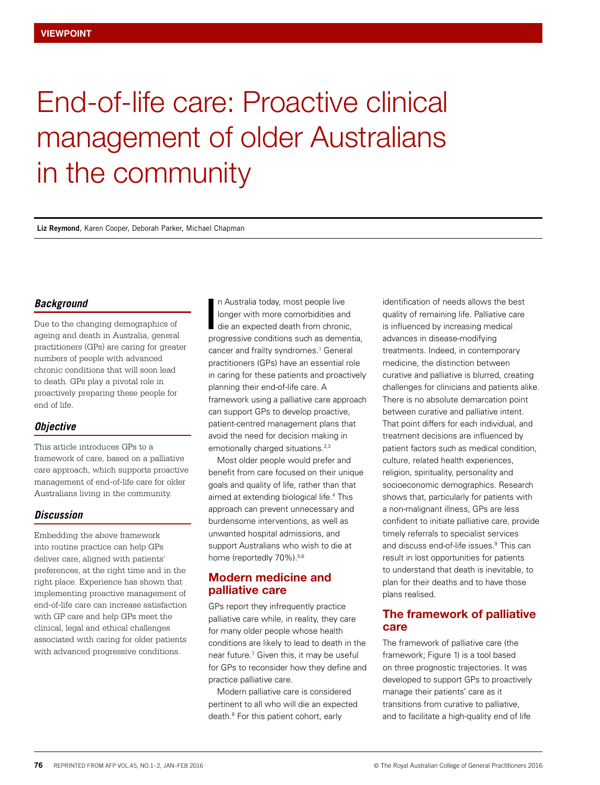# End-of-life care: Proactive clinical management of older Australians in the community

**Liz Reymond**, Karen Cooper, Deborah Parker, Michael Chapman

### *Background*

Due to the changing demographics of ageing and death in Australia, general practitioners (GPs) are caring for greater numbers of people with advanced chronic conditions that will soon lead to death. GPs play a pivotal role in proactively preparing these people for end of life.

## *Objective*

This article introduces GPs to a framework of care, based on a palliative care approach, which supports proactive management of end-of-life care for older Australians living in the community.

#### *Discussion*

Embedding the above framework into routine practice can help GPs deliver care, aligned with patients' preferences, at the right time and in the right place. Experience has shown that implementing proactive management of end-of-life care can increase satisfaction with GP care and help GPs meet the clinical, legal and ethical challenges associated with caring for older patients with advanced progressive conditions.

n Australia today, most people live longer with more comorbidities and die an expected death from chronic, n Australia today, most people live<br>longer with more comorbidities and<br>die an expected death from chronic,<br>progressive conditions such as dementia, cancer and frailty syndromes.<sup>1</sup> General practitioners (GPs) have an essential role in caring for these patients and proactively planning their end-of-life care. A framework using a palliative care approach can support GPs to develop proactive, patient-centred management plans that avoid the need for decision making in emotionally charged situations.<sup>2,3</sup>

Most older people would prefer and benefit from care focused on their unique goals and quality of life, rather than that aimed at extending biological life.4 This approach can prevent unnecessary and burdensome interventions, as well as unwanted hospital admissions, and support Australians who wish to die at home (reportedly 70%).<sup>5,6</sup>

## Modern medicine and palliative care

GPs report they infrequently practice palliative care while, in reality, they care for many older people whose health conditions are likely to lead to death in the near future.<sup>7</sup> Given this, it may be useful for GPs to reconsider how they define and practice palliative care.

Modern palliative care is considered pertinent to all who will die an expected death.8 For this patient cohort, early

identification of needs allows the best quality of remaining life. Palliative care is influenced by increasing medical advances in disease-modifying treatments. Indeed, in contemporary medicine, the distinction between curative and palliative is blurred, creating challenges for clinicians and patients alike. There is no absolute demarcation point between curative and palliative intent. That point differs for each individual, and treatment decisions are influenced by patient factors such as medical condition, culture, related health experiences, religion, spirituality, personality and socioeconomic demographics. Research shows that, particularly for patients with a non-malignant illness, GPs are less confident to initiate palliative care, provide timely referrals to specialist services and discuss end-of-life issues.9 This can result in lost opportunities for patients to understand that death is inevitable, to plan for their deaths and to have those plans realised.

## The framework of palliative care

The framework of palliative care (the framework; Figure 1) is a tool based on three prognostic trajectories. It was developed to support GPs to proactively manage their patients' care as it transitions from curative to palliative, and to facilitate a high-quality end of life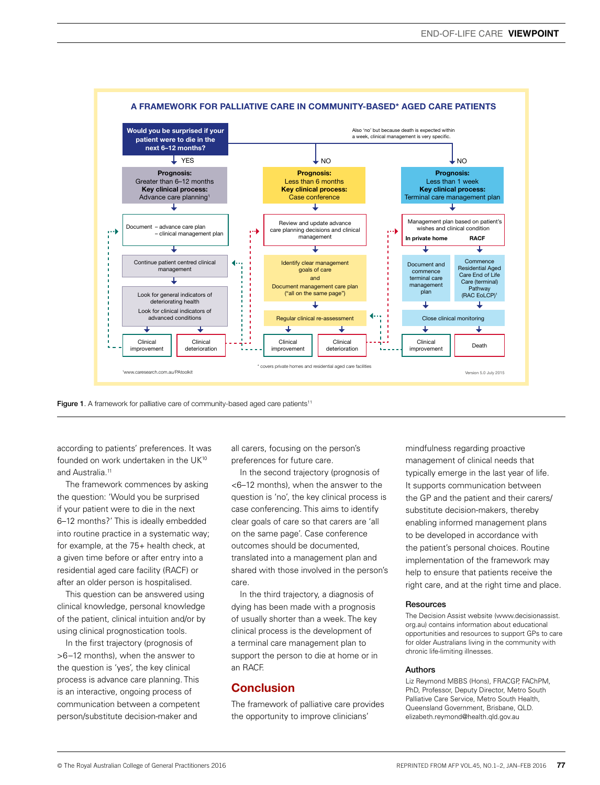

Figure 1. A framework for palliative care of community-based aged care patients<sup>11</sup>

according to patients' preferences. It was founded on work undertaken in the UK10 and Australia.<sup>11</sup>

The framework commences by asking the question: 'Would you be surprised if your patient were to die in the next 6–12 months?' This is ideally embedded into routine practice in a systematic way; for example, at the 75+ health check, at a given time before or after entry into a residential aged care facility (RACF) or after an older person is hospitalised.

This question can be answered using clinical knowledge, personal knowledge of the patient, clinical intuition and/or by using clinical prognostication tools.

In the first trajectory (prognosis of >6–12 months), when the answer to the question is 'yes', the key clinical process is advance care planning. This is an interactive, ongoing process of communication between a competent person/substitute decision-maker and

all carers, focusing on the person's preferences for future care.

In the second trajectory (prognosis of <6–12 months), when the answer to the question is 'no', the key clinical process is case conferencing. This aims to identify clear goals of care so that carers are 'all on the same page'. Case conference outcomes should be documented, translated into a management plan and shared with those involved in the person's care.

In the third trajectory, a diagnosis of dying has been made with a prognosis of usually shorter than a week. The key clinical process is the development of a terminal care management plan to support the person to die at home or in an RACF.

## **Conclusion**

The framework of palliative care provides the opportunity to improve clinicians'

mindfulness regarding proactive management of clinical needs that typically emerge in the last year of life. It supports communication between the GP and the patient and their carers/ substitute decision-makers, thereby enabling informed management plans to be developed in accordance with the patient's personal choices. Routine implementation of the framework may help to ensure that patients receive the right care, and at the right time and place.

#### **Resources**

The Decision Assist website (www.decisionassist. org.au) contains information about educational opportunities and resources to support GPs to care for older Australians living in the community with chronic life-limiting illnesses.

#### Authors

Liz Reymond MBBS (Hons), FRACGP, FAChPM, PhD, Professor, Deputy Director, Metro South Palliative Care Service, Metro South Health, Queensland Government, Brisbane, QLD. elizabeth.reymond@health.qld.gov.au